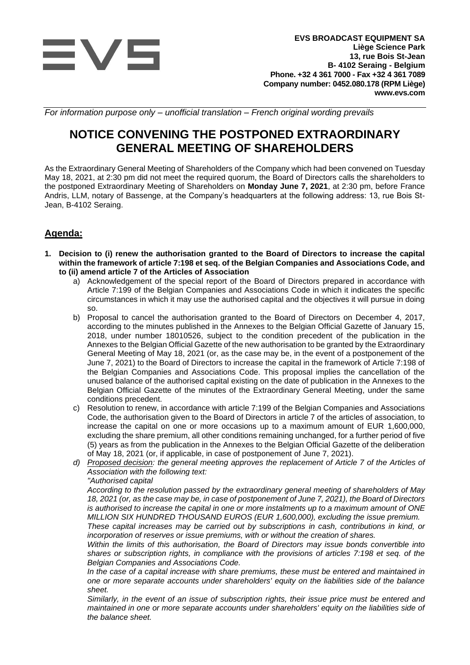

*For information purpose only – unofficial translation – French original wording prevails*

# **NOTICE CONVENING THE POSTPONED EXTRAORDINARY GENERAL MEETING OF SHAREHOLDERS**

As the Extraordinary General Meeting of Shareholders of the Company which had been convened on Tuesday May 18, 2021, at 2:30 pm did not meet the required quorum, the Board of Directors calls the shareholders to the postponed Extraordinary Meeting of Shareholders on **Monday June 7, 2021**, at 2:30 pm, before France Andris, LLM, notary of Bassenge, at the Company's headquarters at the following address: 13, rue Bois St-Jean, B-4102 Seraing.

# **Agenda:**

- **1. Decision to (i) renew the authorisation granted to the Board of Directors to increase the capital within the framework of article 7:198 et seq. of the Belgian Companies and Associations Code, and to (ii) amend article 7 of the Articles of Association** 
	- a) Acknowledgement of the special report of the Board of Directors prepared in accordance with Article 7:199 of the Belgian Companies and Associations Code in which it indicates the specific circumstances in which it may use the authorised capital and the objectives it will pursue in doing so.
	- b) Proposal to cancel the authorisation granted to the Board of Directors on December 4, 2017, according to the minutes published in the Annexes to the Belgian Official Gazette of January 15, 2018, under number 18010526, subject to the condition precedent of the publication in the Annexes to the Belgian Official Gazette of the new authorisation to be granted by the Extraordinary General Meeting of May 18, 2021 (or, as the case may be, in the event of a postponement of the June 7, 2021) to the Board of Directors to increase the capital in the framework of Article 7:198 of the Belgian Companies and Associations Code. This proposal implies the cancellation of the unused balance of the authorised capital existing on the date of publication in the Annexes to the Belgian Official Gazette of the minutes of the Extraordinary General Meeting, under the same conditions precedent.
	- c) Resolution to renew, in accordance with article 7:199 of the Belgian Companies and Associations Code, the authorisation given to the Board of Directors in article 7 of the articles of association, to increase the capital on one or more occasions up to a maximum amount of EUR 1,600,000, excluding the share premium, all other conditions remaining unchanged, for a further period of five (5) years as from the publication in the Annexes to the Belgian Official Gazette of the deliberation of May 18, 2021 (or, if applicable, in case of postponement of June 7, 2021).
	- *d) Proposed decision: the general meeting approves the replacement of Article 7 of the Articles of Association with the following text:*
		- *"Authorised capital*

*According to the resolution passed by the extraordinary general meeting of shareholders of May 18, 2021 (or, as the case may be, in case of postponement of June 7, 2021), the Board of Directors is authorised to increase the capital in one or more instalments up to a maximum amount of ONE MILLION SIX HUNDRED THOUSAND EUROS (EUR 1,600,000), excluding the issue premium.*

*These capital increases may be carried out by subscriptions in cash, contributions in kind, or incorporation of reserves or issue premiums, with or without the creation of shares.*

*Within the limits of this authorisation, the Board of Directors may issue bonds convertible into shares or subscription rights, in compliance with the provisions of articles 7:198 et seq. of the Belgian Companies and Associations Code.* 

*In the case of a capital increase with share premiums, these must be entered and maintained in one or more separate accounts under shareholders' equity on the liabilities side of the balance sheet.*

*Similarly, in the event of an issue of subscription rights, their issue price must be entered and maintained in one or more separate accounts under shareholders' equity on the liabilities side of the balance sheet.*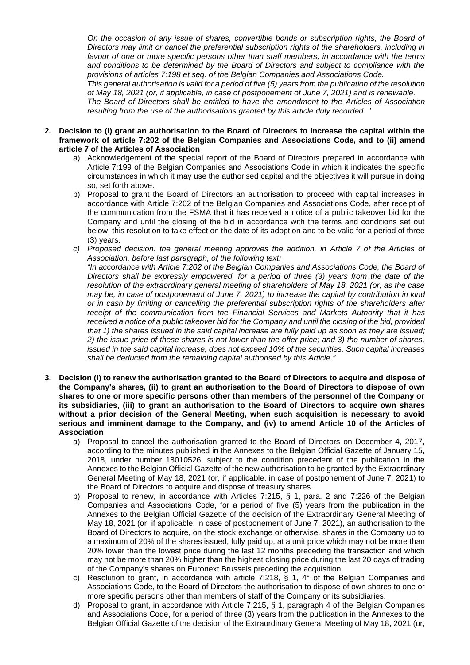*On the occasion of any issue of shares, convertible bonds or subscription rights, the Board of Directors may limit or cancel the preferential subscription rights of the shareholders, including in favour of one or more specific persons other than staff members, in accordance with the terms and conditions to be determined by the Board of Directors and subject to compliance with the provisions of articles 7:198 et seq. of the Belgian Companies and Associations Code.*

*This general authorisation is valid for a period of five (5) years from the publication of the resolution of May 18, 2021 (or, if applicable, in case of postponement of June 7, 2021) and is renewable.*

*The Board of Directors shall be entitled to have the amendment to the Articles of Association resulting from the use of the authorisations granted by this article duly recorded. "*

- **2. Decision to (i) grant an authorisation to the Board of Directors to increase the capital within the framework of article 7:202 of the Belgian Companies and Associations Code, and to (ii) amend article 7 of the Articles of Association** 
	- a) Acknowledgement of the special report of the Board of Directors prepared in accordance with Article 7:199 of the Belgian Companies and Associations Code in which it indicates the specific circumstances in which it may use the authorised capital and the objectives it will pursue in doing so, set forth above.
	- b) Proposal to grant the Board of Directors an authorisation to proceed with capital increases in accordance with Article 7:202 of the Belgian Companies and Associations Code, after receipt of the communication from the FSMA that it has received a notice of a public takeover bid for the Company and until the closing of the bid in accordance with the terms and conditions set out below, this resolution to take effect on the date of its adoption and to be valid for a period of three (3) years.
	- *c) Proposed decision: the general meeting approves the addition, in Article 7 of the Articles of Association, before last paragraph, of the following text:*

*"In accordance with Article 7:202 of the Belgian Companies and Associations Code, the Board of Directors shall be expressly empowered, for a period of three (3) years from the date of the resolution of the extraordinary general meeting of shareholders of May 18, 2021 (or, as the case may be, in case of postponement of June 7, 2021) to increase the capital by contribution in kind or in cash by limiting or cancelling the preferential subscription rights of the shareholders after receipt of the communication from the Financial Services and Markets Authority that it has received a notice of a public takeover bid for the Company and until the closing of the bid, provided that 1) the shares issued in the said capital increase are fully paid up as soon as they are issued; 2) the issue price of these shares is not lower than the offer price; and 3) the number of shares, issued in the said capital increase, does not exceed 10% of the securities. Such capital increases shall be deducted from the remaining capital authorised by this Article."*

- **3. Decision (i) to renew the authorisation granted to the Board of Directors to acquire and dispose of the Company's shares, (ii) to grant an authorisation to the Board of Directors to dispose of own shares to one or more specific persons other than members of the personnel of the Company or its subsidiaries, (iii) to grant an authorisation to the Board of Directors to acquire own shares without a prior decision of the General Meeting, when such acquisition is necessary to avoid serious and imminent damage to the Company, and (iv) to amend Article 10 of the Articles of Association**
	- a) Proposal to cancel the authorisation granted to the Board of Directors on December 4, 2017, according to the minutes published in the Annexes to the Belgian Official Gazette of January 15, 2018, under number 18010526, subject to the condition precedent of the publication in the Annexes to the Belgian Official Gazette of the new authorisation to be granted by the Extraordinary General Meeting of May 18, 2021 (or, if applicable, in case of postponement of June 7, 2021) to the Board of Directors to acquire and dispose of treasury shares.
	- b) Proposal to renew, in accordance with Articles 7:215, § 1, para. 2 and 7:226 of the Belgian Companies and Associations Code, for a period of five (5) years from the publication in the Annexes to the Belgian Official Gazette of the decision of the Extraordinary General Meeting of May 18, 2021 (or, if applicable, in case of postponement of June 7, 2021), an authorisation to the Board of Directors to acquire, on the stock exchange or otherwise, shares in the Company up to a maximum of 20% of the shares issued, fully paid up, at a unit price which may not be more than 20% lower than the lowest price during the last 12 months preceding the transaction and which may not be more than 20% higher than the highest closing price during the last 20 days of trading of the Company's shares on Euronext Brussels preceding the acquisition.
	- c) Resolution to grant, in accordance with article 7:218,  $\S$  1,  $4^{\circ}$  of the Belgian Companies and Associations Code, to the Board of Directors the authorisation to dispose of own shares to one or more specific persons other than members of staff of the Company or its subsidiaries.
	- d) Proposal to grant, in accordance with Article 7:215, § 1, paragraph 4 of the Belgian Companies and Associations Code, for a period of three (3) years from the publication in the Annexes to the Belgian Official Gazette of the decision of the Extraordinary General Meeting of May 18, 2021 (or,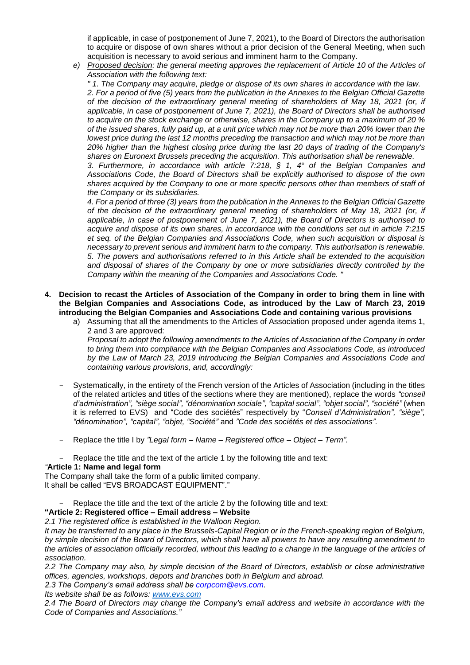if applicable, in case of postponement of June 7, 2021), to the Board of Directors the authorisation to acquire or dispose of own shares without a prior decision of the General Meeting, when such acquisition is necessary to avoid serious and imminent harm to the Company.

*e) Proposed decision: the general meeting approves the replacement of Article 10 of the Articles of Association with the following text:*

*" 1. The Company may acquire, pledge or dispose of its own shares in accordance with the law. 2. For a period of five (5) years from the publication in the Annexes to the Belgian Official Gazette of the decision of the extraordinary general meeting of shareholders of May 18, 2021 (or, if applicable, in case of postponement of June 7, 2021), the Board of Directors shall be authorised to acquire on the stock exchange or otherwise, shares in the Company up to a maximum of 20 % of the issued shares, fully paid up, at a unit price which may not be more than 20% lower than the lowest price during the last 12 months preceding the transaction and which may not be more than 20% higher than the highest closing price during the last 20 days of trading of the Company's shares on Euronext Brussels preceding the acquisition. This authorisation shall be renewable.*

*3. Furthermore, in accordance with article 7:218, § 1, 4° of the Belgian Companies and Associations Code, the Board of Directors shall be explicitly authorised to dispose of the own shares acquired by the Company to one or more specific persons other than members of staff of the Company or its subsidiaries.*

*4. For a period of three (3) years from the publication in the Annexes to the Belgian Official Gazette of the decision of the extraordinary general meeting of shareholders of May 18, 2021 (or, if applicable, in case of postponement of June 7, 2021), the Board of Directors is authorised to acquire and dispose of its own shares, in accordance with the conditions set out in article 7:215 et seq. of the Belgian Companies and Associations Code, when such acquisition or disposal is necessary to prevent serious and imminent harm to the company. This authorisation is renewable. 5. The powers and authorisations referred to in this Article shall be extended to the acquisition and disposal of shares of the Company by one or more subsidiaries directly controlled by the Company within the meaning of the Companies and Associations Code. "*

- **4. Decision to recast the Articles of Association of the Company in order to bring them in line with the Belgian Companies and Associations Code, as introduced by the Law of March 23, 2019 introducing the Belgian Companies and Associations Code and containing various provisions**
	- a) Assuming that all the amendments to the Articles of Association proposed under agenda items 1, 2 and 3 are approved: *Proposal to adopt the following amendments to the Articles of Association of the Company in order to bring them into compliance with the Belgian Companies and Associations Code, as introduced by the Law of March 23, 2019 introducing the Belgian Companies and Associations Code and containing various provisions, and, accordingly:*
	- Systematically, in the entirety of the French version of the Articles of Association (including in the titles of the related articles and titles of the sections where they are mentioned), replace the words *"conseil d'administration", "siège social", "dénomination sociale", "capital social"*, *"objet social", "société"* (when it is referred to EVS) and "Code des sociétés" respectively by "*Conseil d'Administration", "siège", "dénomination", "capital", "objet, "Société"* and *"Code des sociétés et des associations".*
	- Replace the title I by *"Legal form – Name – Registered office – Object – Term".*
- Replace the title and the text of the article 1 by the following title and text: *"***Article 1: Name and legal form**

The Company shall take the form of a public limited company. It shall be called "EVS BROADCAST EQUIPMENT"."

Replace the title and the text of the article 2 by the following title and text:

## **"Article 2: Registered office – Email address – Website**

*2.1 The registered office is established in the Walloon Region.*

*It may be transferred to any place in the Brussels-Capital Region or in the French-speaking region of Belgium, by simple decision of the Board of Directors, which shall have all powers to have any resulting amendment to the articles of association officially recorded, without this leading to a change in the language of the articles of association.*

*2.2 The Company may also, by simple decision of the Board of Directors, establish or close administrative offices, agencies, workshops, depots and branches both in Belgium and abroad.*

*2.3 The Company's email address shall be [corpcom@evs.com.](mailto:corpcom@evs.com)*

*Its website shall be as follows: [www.evs.com](http://www.evs.com/)*

*2.4 The Board of Directors may change the Company's email address and website in accordance with the Code of Companies and Associations."*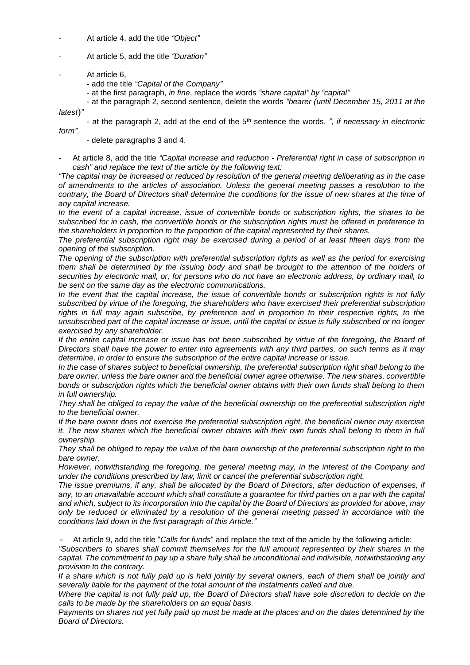- At article 4, add the title *"Object"*
- At article 5, add the title *"Duration"*
- At article 6,
	- add the title *"Capital of the Company"*
	- at the first paragraph, *in fine*, replace the words *"share capital" by "capital"*
- at the paragraph 2, second sentence, delete the words *"bearer (until December 15, 2011 at the latest*)*"*

- at the paragraph 2, add at the end of the 5th sentence the words, *", if necessary in electronic form".*

- delete paragraphs 3 and 4.

- At article 8, add the title *"Capital increase and reduction - Preferential right in case of subscription in cash" and replace the text of the article by the following text:* 

*"The capital may be increased or reduced by resolution of the general meeting deliberating as in the case of amendments to the articles of association. Unless the general meeting passes a resolution to the contrary, the Board of Directors shall determine the conditions for the issue of new shares at the time of any capital increase.*

*In the event of a capital increase, issue of convertible bonds or subscription rights, the shares to be subscribed for in cash, the convertible bonds or the subscription rights must be offered in preference to the shareholders in proportion to the proportion of the capital represented by their shares.*

*The preferential subscription right may be exercised during a period of at least fifteen days from the opening of the subscription.*

*The opening of the subscription with preferential subscription rights as well as the period for exercising them shall be determined by the issuing body and shall be brought to the attention of the holders of securities by electronic mail, or, for persons who do not have an electronic address, by ordinary mail, to be sent on the same day as the electronic communications.* 

*In the event that the capital increase, the issue of convertible bonds or subscription rights is not fully subscribed by virtue of the foregoing, the shareholders who have exercised their preferential subscription rights in full may again subscribe, by preference and in proportion to their respective rights, to the unsubscribed part of the capital increase or issue, until the capital or issue is fully subscribed or no longer exercised by any shareholder.*

*If the entire capital increase or issue has not been subscribed by virtue of the foregoing, the Board of Directors shall have the power to enter into agreements with any third parties, on such terms as it may determine, in order to ensure the subscription of the entire capital increase or issue.* 

*In the case of shares subject to beneficial ownership, the preferential subscription right shall belong to the bare owner, unless the bare owner and the beneficial owner agree otherwise. The new shares, convertible bonds or subscription rights which the beneficial owner obtains with their own funds shall belong to them in full ownership.*

*They shall be obliged to repay the value of the beneficial ownership on the preferential subscription right to the beneficial owner.*

*If the bare owner does not exercise the preferential subscription right, the beneficial owner may exercise it. The new shares which the beneficial owner obtains with their own funds shall belong to them in full ownership.*

*They shall be obliged to repay the value of the bare ownership of the preferential subscription right to the bare owner.*

*However, notwithstanding the foregoing, the general meeting may, in the interest of the Company and under the conditions prescribed by law, limit or cancel the preferential subscription right.*

*The issue premiums, if any, shall be allocated by the Board of Directors, after deduction of expenses, if*  any, to an unavailable account which shall constitute a guarantee for third parties on a par with the capital *and which, subject to its incorporation into the capital by the Board of Directors as provided for above, may only be reduced or eliminated by a resolution of the general meeting passed in accordance with the conditions laid down in the first paragraph of this Article."*

- At article 9, add the title "*Calls for funds*" and replace the text of the article by the following article:

*"Subscribers to shares shall commit themselves for the full amount represented by their shares in the capital. The commitment to pay up a share fully shall be unconditional and indivisible, notwithstanding any provision to the contrary.*

*If a share which is not fully paid up is held jointly by several owners, each of them shall be jointly and severally liable for the payment of the total amount of the instalments called and due.*

*Where the capital is not fully paid up, the Board of Directors shall have sole discretion to decide on the calls to be made by the shareholders on an equal basis.*

*Payments on shares not yet fully paid up must be made at the places and on the dates determined by the Board of Directors.*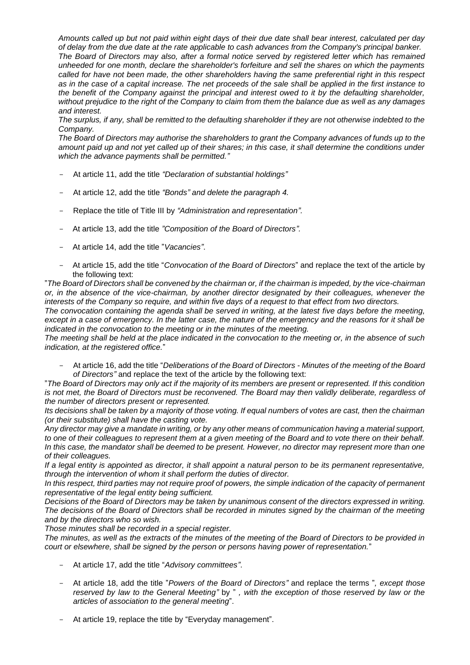*Amounts called up but not paid within eight days of their due date shall bear interest, calculated per day of delay from the due date at the rate applicable to cash advances from the Company's principal banker. The Board of Directors may also, after a formal notice served by registered letter which has remained unheeded for one month, declare the shareholder's forfeiture and sell the shares on which the payments called for have not been made, the other shareholders having the same preferential right in this respect as in the case of a capital increase. The net proceeds of the sale shall be applied in the first instance to the benefit of the Company against the principal and interest owed to it by the defaulting shareholder, without prejudice to the right of the Company to claim from them the balance due as well as any damages and interest.*

*The surplus, if any, shall be remitted to the defaulting shareholder if they are not otherwise indebted to the Company.*

*The Board of Directors may authorise the shareholders to grant the Company advances of funds up to the amount paid up and not yet called up of their shares; in this case, it shall determine the conditions under which the advance payments shall be permitted."*

- At article 11, add the title *"Declaration of substantial holdings"*
- At article 12, add the title *"Bonds" and delete the paragraph 4.*
- Replace the title of Title III by *"Administration and representation".*
- At article 13, add the title *"Composition of the Board of Directors".*
- At article 14, add the title "*Vacancies"*.
- At article 15, add the title "*Convocation of the Board of Directors*" and replace the text of the article by the following text:

"*The Board of Directors shall be convened by the chairman or, if the chairman is impeded, by the vice-chairman or, in the absence of the vice-chairman, by another director designated by their colleagues, whenever the interests of the Company so require, and within five days of a request to that effect from two directors.*

*The convocation containing the agenda shall be served in writing, at the latest five days before the meeting, except in a case of emergency. In the latter case, the nature of the emergency and the reasons for it shall be indicated in the convocation to the meeting or in the minutes of the meeting.*

*The meeting shall be held at the place indicated in the convocation to the meeting or, in the absence of such indication, at the registered office.*"

- At article 16, add the title "*Deliberations of the Board of Directors - Minutes of the meeting of the Board of Directors"* and replace the text of the article by the following text:

"*The Board of Directors may only act if the majority of its members are present or represented. If this condition is not met, the Board of Directors must be reconvened. The Board may then validly deliberate, regardless of the number of directors present or represented.*

*Its decisions shall be taken by a majority of those voting. If equal numbers of votes are cast, then the chairman (or their substitute) shall have the casting vote.*

*Any director may give a mandate in writing, or by any other means of communication having a material support, to one of their colleagues to represent them at a given meeting of the Board and to vote there on their behalf. In this case, the mandator shall be deemed to be present. However, no director may represent more than one of their colleagues.*

*If a legal entity is appointed as director, it shall appoint a natural person to be its permanent representative, through the intervention of whom it shall perform the duties of director.*

*In this respect, third parties may not require proof of powers, the simple indication of the capacity of permanent representative of the legal entity being sufficient.*

*Decisions of the Board of Directors may be taken by unanimous consent of the directors expressed in writing. The decisions of the Board of Directors shall be recorded in minutes signed by the chairman of the meeting and by the directors who so wish.*

*Those minutes shall be recorded in a special register.*

*The minutes, as well as the extracts of the minutes of the meeting of the Board of Directors to be provided in court or elsewhere, shall be signed by the person or persons having power of representation.*"

- At article 17, add the title "*Advisory committees"*.
- At article 18, add the title "*Powers of the Board of Directors"* and replace the terms "*, except those reserved by law to the General Meeting"* by " *, with the exception of those reserved by law or the articles of association to the general meeting*".
- At article 19, replace the title by "Everyday management".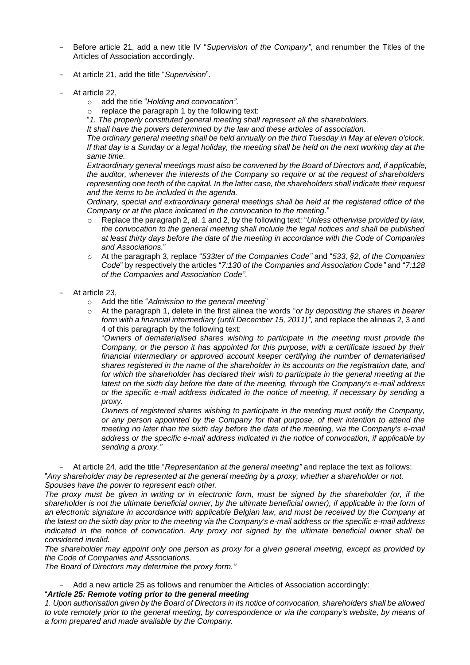- Before article 21, add a new title IV "*Supervision of the Company"*, and renumber the Titles of the Articles of Association accordingly.
- At article 21, add the title "*Supervision*".
- At article 22.
	- o add the title "*Holding and convocation"*.
	- replace the paragraph 1 by the following text:
	- "*1. The properly constituted general meeting shall represent all the shareholders.*

*It shall have the powers determined by the law and these articles of association.*

*The ordinary general meeting shall be held annually on the third Tuesday in May at eleven o'clock. If that day is a Sunday or a legal holiday, the meeting shall be held on the next working day at the same time.*

*Extraordinary general meetings must also be convened by the Board of Directors and, if applicable, the auditor, whenever the interests of the Company so require or at the request of shareholders representing one tenth of the capital. In the latter case, the shareholders shall indicate their request and the items to be included in the agenda.* 

*Ordinary, special and extraordinary general meetings shall be held at the registered office of the Company or at the place indicated in the convocation to the meeting.*"

- Replace the paragraph 2, al. 1 and 2, by the following text: "*Unless otherwise provided by law. the convocation to the general meeting shall include the legal notices and shall be published at least thirty days before the date of the meeting in accordance with the Code of Companies and Associations.*"
- o At the paragraph 3, replace "*533ter of the Companies Code"* and "*533, §2, of the Companies Code*" by respectively the articles "*7:130 of the Companies and Association Code"* and "*7:128 of the Companies and Association Code"*.
- At article 23.
	- o Add the title "*Admission to the general meeting*"
	- o At the paragraph 1, delete in the first alinea the words "*or by depositing the shares in bearer form with a financial intermediary (until December 15, 2011)"*, and replace the alineas 2, 3 and 4 of this paragraph by the following text:

"*Owners of dematerialised shares wishing to participate in the meeting must provide the Company, or the person it has appointed for this purpose, with a certificate issued by their financial intermediary or approved account keeper certifying the number of dematerialised shares registered in the name of the shareholder in its accounts on the registration date, and for which the shareholder has declared their wish to participate in the general meeting at the latest on the sixth day before the date of the meeting, through the Company's e-mail address or the specific e-mail address indicated in the notice of meeting, if necessary by sending a proxy.*

*Owners of registered shares wishing to participate in the meeting must notify the Company, or any person appointed by the Company for that purpose, of their intention to attend the meeting no later than the sixth day before the date of the meeting, via the Company's e-mail address or the specific e-mail address indicated in the notice of convocation, if applicable by sending a proxy."*

- At article 24, add the title "*Representation at the general meeting"* and replace the text as follows: "*Any shareholder may be represented at the general meeting by a proxy, whether a shareholder or not. Spouses have the power to represent each other.*

*The proxy must be given in writing or in electronic form, must be signed by the shareholder (or, if the shareholder is not the ultimate beneficial owner, by the ultimate beneficial owner), if applicable in the form of an electronic signature in accordance with applicable Belgian law, and must be received by the Company at the latest on the sixth day prior to the meeting via the Company's e-mail address or the specific e-mail address indicated in the notice of convocation. Any proxy not signed by the ultimate beneficial owner shall be considered invalid.*

*The shareholder may appoint only one person as proxy for a given general meeting, except as provided by the Code of Companies and Associations.*

*The Board of Directors may determine the proxy form."*

Add a new article 25 as follows and renumber the Articles of Association accordingly:

"*Article 25: Remote voting prior to the general meeting*

*1. Upon authorisation given by the Board of Directors in its notice of convocation, shareholders shall be allowed to vote remotely prior to the general meeting, by correspondence or via the company's website, by means of a form prepared and made available by the Company.*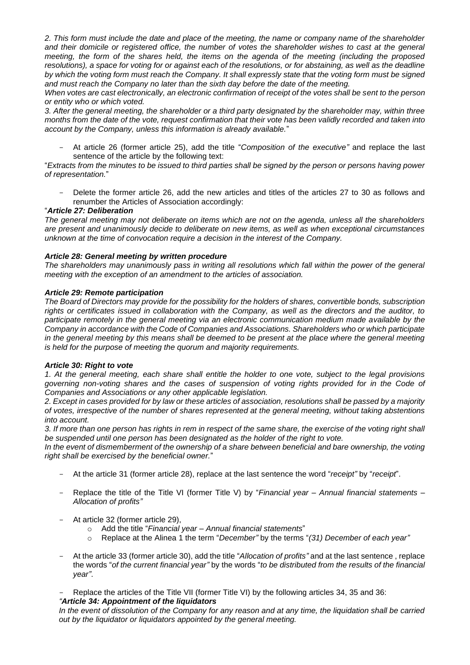*2. This form must include the date and place of the meeting, the name or company name of the shareholder and their domicile or registered office, the number of votes the shareholder wishes to cast at the general meeting, the form of the shares held, the items on the agenda of the meeting (including the proposed resolutions), a space for voting for or against each of the resolutions, or for abstaining, as well as the deadline by which the voting form must reach the Company. It shall expressly state that the voting form must be signed and must reach the Company no later than the sixth day before the date of the meeting.*

*When votes are cast electronically, an electronic confirmation of receipt of the votes shall be sent to the person or entity who or which voted.*

*3. After the general meeting, the shareholder or a third party designated by the shareholder may, within three months from the date of the vote, request confirmation that their vote has been validly recorded and taken into account by the Company, unless this information is already available.*"

- At article 26 (former article 25), add the title "*Composition of the executive"* and replace the last sentence of the article by the following text:

"*Extracts from the minutes to be issued to third parties shall be signed by the person or persons having power of representation.*"

Delete the former article 26, add the new articles and titles of the articles 27 to 30 as follows and renumber the Articles of Association accordingly:

#### "*Article 27: Deliberation*

*The general meeting may not deliberate on items which are not on the agenda, unless all the shareholders are present and unanimously decide to deliberate on new items, as well as when exceptional circumstances unknown at the time of convocation require a decision in the interest of the Company.*

#### *Article 28: General meeting by written procedure*

*The shareholders may unanimously pass in writing all resolutions which fall within the power of the general meeting with the exception of an amendment to the articles of association.*

#### *Article 29: Remote participation*

*The Board of Directors may provide for the possibility for the holders of shares, convertible bonds, subscription rights or certificates issued in collaboration with the Company, as well as the directors and the auditor, to participate remotely in the general meeting via an electronic communication medium made available by the Company in accordance with the Code of Companies and Associations. Shareholders who or which participate in the general meeting by this means shall be deemed to be present at the place where the general meeting is held for the purpose of meeting the quorum and majority requirements.*

#### *Article 30: Right to vote*

*1. At the general meeting, each share shall entitle the holder to one vote, subject to the legal provisions governing non-voting shares and the cases of suspension of voting rights provided for in the Code of Companies and Associations or any other applicable legislation.*

*2. Except in cases provided for by law or these articles of association, resolutions shall be passed by a majority of votes, irrespective of the number of shares represented at the general meeting, without taking abstentions into account.*

*3. If more than one person has rights in rem in respect of the same share, the exercise of the voting right shall be suspended until one person has been designated as the holder of the right to vote.* 

*In the event of dismemberment of the ownership of a share between beneficial and bare ownership, the voting right shall be exercised by the beneficial owner.*"

- At the article 31 (former article 28), replace at the last sentence the word "*receipt"* by "*receipt*".
- Replace the title of the Title VI (former Title V) by "*Financial year – Annual financial statements – Allocation of profits"*
- At article 32 (former article 29),
	- o Add the title "*Financial year – Annual financial statements*"
	- o Replace at the Alinea 1 the term "*December"* by the terms "*(31) December of each year"*
- At the article 33 (former article 30), add the title "*Allocation of profits"* and at the last sentence , replace the words "*of the current financial year"* by the words "*to be distributed from the results of the financial year"*.
- Replace the articles of the Title VII (former Title VI) by the following articles 34, 35 and 36:

## *"Article 34: Appointment of the liquidators*

*In the event of dissolution of the Company for any reason and at any time, the liquidation shall be carried out by the liquidator or liquidators appointed by the general meeting.*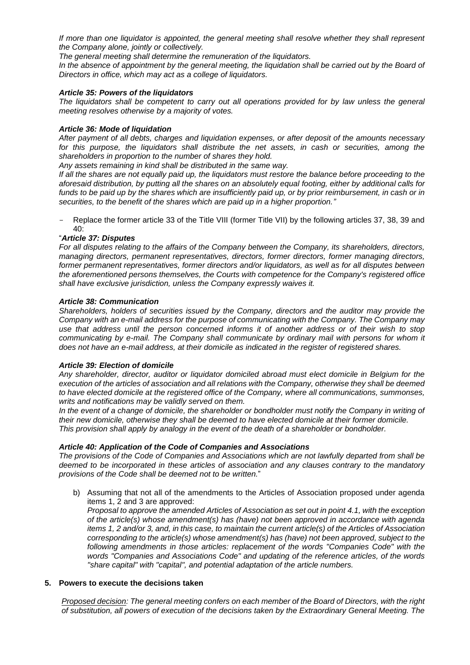*If more than one liquidator is appointed, the general meeting shall resolve whether they shall represent the Company alone, jointly or collectively.*

*The general meeting shall determine the remuneration of the liquidators.*

In the absence of appointment by the general meeting, the liquidation shall be carried out by the Board of *Directors in office, which may act as a college of liquidators.* 

#### *Article 35: Powers of the liquidators*

*The liquidators shall be competent to carry out all operations provided for by law unless the general meeting resolves otherwise by a majority of votes.*

#### *Article 36: Mode of liquidation*

*After payment of all debts, charges and liquidation expenses, or after deposit of the amounts necessary for this purpose, the liquidators shall distribute the net assets, in cash or securities, among the shareholders in proportion to the number of shares they hold.*

*Any assets remaining in kind shall be distributed in the same way.*

*If all the shares are not equally paid up, the liquidators must restore the balance before proceeding to the aforesaid distribution, by putting all the shares on an absolutely equal footing, either by additional calls for funds to be paid up by the shares which are insufficiently paid up, or by prior reimbursement, in cash or in securities, to the benefit of the shares which are paid up in a higher proportion."*

Replace the former article 33 of the Title VIII (former Title VII) by the following articles 37, 38, 39 and  $40<sup>1</sup>$ 

#### "*Article 37: Disputes*

*For all disputes relating to the affairs of the Company between the Company, its shareholders, directors, managing directors, permanent representatives, directors, former directors, former managing directors, former permanent representatives, former directors and/or liquidators, as well as for all disputes between the aforementioned persons themselves, the Courts with competence for the Company's registered office shall have exclusive jurisdiction, unless the Company expressly waives it.*

#### *Article 38: Communication*

*Shareholders, holders of securities issued by the Company, directors and the auditor may provide the Company with an e-mail address for the purpose of communicating with the Company. The Company may use that address until the person concerned informs it of another address or of their wish to stop communicating by e-mail. The Company shall communicate by ordinary mail with persons for whom it does not have an e-mail address, at their domicile as indicated in the register of registered shares.* 

#### *Article 39: Election of domicile*

*Any shareholder, director, auditor or liquidator domiciled abroad must elect domicile in Belgium for the execution of the articles of association and all relations with the Company, otherwise they shall be deemed to have elected domicile at the registered office of the Company, where all communications, summonses, writs and notifications may be validly served on them.*

*In the event of a change of domicile, the shareholder or bondholder must notify the Company in writing of their new domicile, otherwise they shall be deemed to have elected domicile at their former domicile. This provision shall apply by analogy in the event of the death of a shareholder or bondholder.*

#### *Article 40: Application of the Code of Companies and Associations*

*The provisions of the Code of Companies and Associations which are not lawfully departed from shall be deemed to be incorporated in these articles of association and any clauses contrary to the mandatory provisions of the Code shall be deemed not to be written.*"

b) Assuming that not all of the amendments to the Articles of Association proposed under agenda items 1, 2 and 3 are approved:

*Proposal to approve the amended Articles of Association as set out in point 4.1, with the exception of the article(s) whose amendment(s) has (have) not been approved in accordance with agenda items 1, 2 and/or 3, and, in this case, to maintain the current article(s) of the Articles of Association corresponding to the article(s) whose amendment(s) has (have) not been approved, subject to the following amendments in those articles: replacement of the words "Companies Code" with the words "Companies and Associations Code" and updating of the reference articles, of the words "share capital" with "capital", and potential adaptation of the article numbers.*

## **5. Powers to execute the decisions taken**

*Proposed decision: The general meeting confers on each member of the Board of Directors, with the right of substitution, all powers of execution of the decisions taken by the Extraordinary General Meeting. The*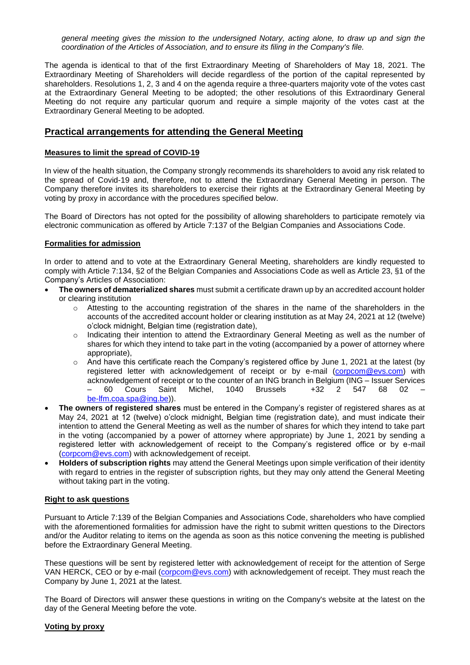*general meeting gives the mission to the undersigned Notary, acting alone, to draw up and sign the coordination of the Articles of Association, and to ensure its filing in the Company's file.*

The agenda is identical to that of the first Extraordinary Meeting of Shareholders of May 18, 2021. The Extraordinary Meeting of Shareholders will decide regardless of the portion of the capital represented by shareholders. Resolutions 1, 2, 3 and 4 on the agenda require a three-quarters majority vote of the votes cast at the Extraordinary General Meeting to be adopted; the other resolutions of this Extraordinary General Meeting do not require any particular quorum and require a simple majority of the votes cast at the Extraordinary General Meeting to be adopted.

# **Practical arrangements for attending the General Meeting**

#### **Measures to limit the spread of COVID-19**

In view of the health situation, the Company strongly recommends its shareholders to avoid any risk related to the spread of Covid-19 and, therefore, not to attend the Extraordinary General Meeting in person. The Company therefore invites its shareholders to exercise their rights at the Extraordinary General Meeting by voting by proxy in accordance with the procedures specified below.

The Board of Directors has not opted for the possibility of allowing shareholders to participate remotely via electronic communication as offered by Article 7:137 of the Belgian Companies and Associations Code.

#### **Formalities for admission**

In order to attend and to vote at the Extraordinary General Meeting, shareholders are kindly requested to comply with Article 7:134, §2 of the Belgian Companies and Associations Code as well as Article 23, §1 of the Company's Articles of Association:

- **The owners of dematerialized shares** must submit a certificate drawn up by an accredited account holder or clearing institution
	- $\circ$  Attesting to the accounting registration of the shares in the name of the shareholders in the accounts of the accredited account holder or clearing institution as at May 24, 2021 at 12 (twelve) o'clock midnight, Belgian time (registration date),
	- o Indicating their intention to attend the Extraordinary General Meeting as well as the number of shares for which they intend to take part in the voting (accompanied by a power of attorney where appropriate),
	- o And have this certificate reach the Company's registered office by June 1, 2021 at the latest (by registered letter with acknowledgement of receipt or by e-mail [\(corpcom@evs.com\)](mailto:corpcom@evs.com) with acknowledgement of receipt or to the counter of an ING branch in Belgium (ING – Issuer Services<br>
	- 60 Cours Saint Michel, 1040 Brussels +32 2 547 68 02 – – 60 Cours Saint Michel, 1040 Brussels +32 2 547 68 02 – [be-lfm.coa.spa@ing.be\)](mailto:be-lfm.coa.spa@ing.be)).
- **The owners of registered shares** must be entered in the Company's register of registered shares as at May 24, 2021 at 12 (twelve) o'clock midnight, Belgian time (registration date), and must indicate their intention to attend the General Meeting as well as the number of shares for which they intend to take part in the voting (accompanied by a power of attorney where appropriate) by June 1, 2021 by sending a registered letter with acknowledgement of receipt to the Company's registered office or by e-mail [\(corpcom@evs.com\)](mailto:corpcom@evs.com) with acknowledgement of receipt.
- **Holders of subscription rights** may attend the General Meetings upon simple verification of their identity with regard to entries in the register of subscription rights, but they may only attend the General Meeting without taking part in the voting.

#### **Right to ask questions**

Pursuant to Article 7:139 of the Belgian Companies and Associations Code, shareholders who have complied with the aforementioned formalities for admission have the right to submit written questions to the Directors and/or the Auditor relating to items on the agenda as soon as this notice convening the meeting is published before the Extraordinary General Meeting.

These questions will be sent by registered letter with acknowledgement of receipt for the attention of Serge VAN HERCK, CEO or by e-mail [\(corpcom@evs.com\)](mailto:corpcom@evs.comv) with acknowledgement of receipt. They must reach the Company by June 1, 2021 at the latest.

The Board of Directors will answer these questions in writing on the Company's website at the latest on the day of the General Meeting before the vote.

#### **Voting by proxy**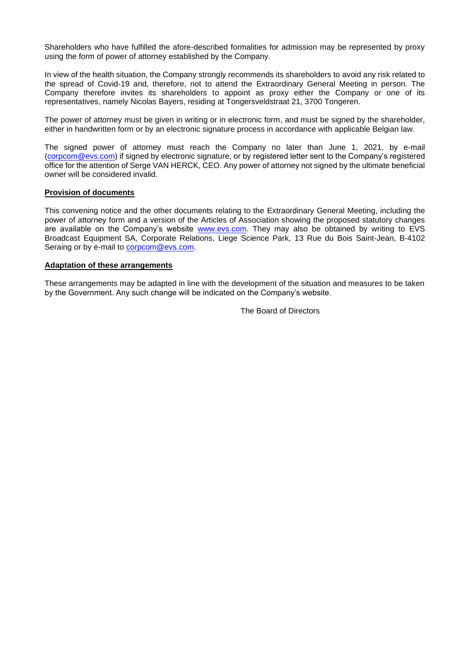Shareholders who have fulfilled the afore-described formalities for admission may be represented by proxy using the form of power of attorney established by the Company.

In view of the health situation, the Company strongly recommends its shareholders to avoid any risk related to the spread of Covid-19 and, therefore, not to attend the Extraordinary General Meeting in person. The Company therefore invites its shareholders to appoint as proxy either the Company or one of its representatives, namely Nicolas Bayers, residing at Tongersveldstraat 21, 3700 Tongeren.

The power of attorney must be given in writing or in electronic form, and must be signed by the shareholder, either in handwritten form or by an electronic signature process in accordance with applicable Belgian law.

The signed power of attorney must reach the Company no later than June 1, 2021, by e-mail [\(corpcom@evs.com\)](mailto:corpcom@evs.com) if signed by electronic signature, or by registered letter sent to the Company's registered office for the attention of Serge VAN HERCK, CEO. Any power of attorney not signed by the ultimate beneficial owner will be considered invalid.

#### **Provision of documents**

This convening notice and the other documents relating to the Extraordinary General Meeting, including the power of attorney form and a version of the Articles of Association showing the proposed statutory changes are available on the Company's website [www.evs.com.](http://www.evs.com/) They may also be obtained by writing to EVS Broadcast Equipment SA, Corporate Relations, Liege Science Park, 13 Rue du Bois Saint-Jean, B-4102 Seraing or by e-mail to [corpcom@evs.com.](mailto:corpcom@evs.com)

#### **Adaptation of these arrangements**

These arrangements may be adapted in line with the development of the situation and measures to be taken by the Government. Any such change will be indicated on the Company's website.

The Board of Directors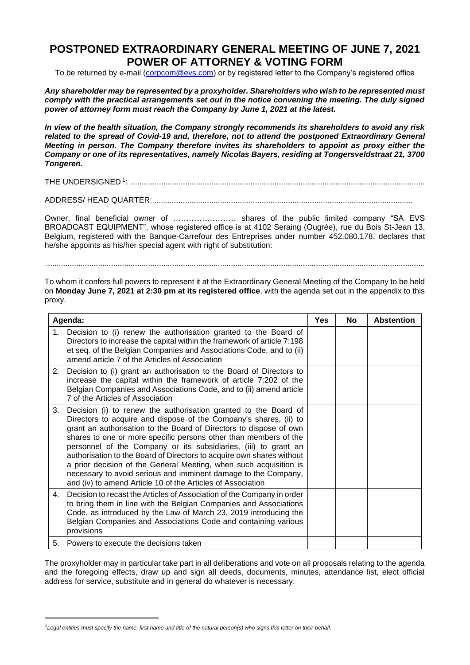# **POSTPONED EXTRAORDINARY GENERAL MEETING OF JUNE 7, 2021 POWER OF ATTORNEY & VOTING FORM**

To be returned by e-mail [\(corpcom@evs.com\)](mailto:corpcom@evs.com) or by registered letter to the Company's registered office

*Any shareholder may be represented by a proxyholder. Shareholders who wish to be represented must comply with the practical arrangements set out in the notice convening the meeting. The duly signed power of attorney form must reach the Company by June 1, 2021 at the latest.* 

*In view of the health situation, the Company strongly recommends its shareholders to avoid any risk related to the spread of Covid-19 and, therefore, not to attend the postponed Extraordinary General Meeting in person. The Company therefore invites its shareholders to appoint as proxy either the Company or one of its representatives, namely Nicolas Bayers, residing at Tongersveldstraat 21, 3700 Tongeren.*

THE UNDERSIGNED <sup>1</sup> : .......................................................................................................................................

ADDRESS/ HEAD QUARTER: ......................................................................................................................

Owner, final beneficial owner of …………………… shares of the public limited company "SA EVS BROADCAST EQUIPMENT", whose registered office is at 4102 Seraing (Ougrée), rue du Bois St-Jean 13, Belgium, registered with the Banque-Carrefour des Entreprises under number 452.080.178, declares that he/she appoints as his/her special agent with right of substitution:

..............................................................................................................................................................................

To whom it confers full powers to represent it at the Extraordinary General Meeting of the Company to be held on **Monday June 7, 2021 at 2:30 pm at its registered office**, with the agenda set out in the appendix to this proxy.

| Agenda: |                                                                                                                                                                                                                                                                                                                                                                                                                                                                                                                                                                                                                                  | <b>Yes</b> | <b>No</b> | <b>Abstention</b> |
|---------|----------------------------------------------------------------------------------------------------------------------------------------------------------------------------------------------------------------------------------------------------------------------------------------------------------------------------------------------------------------------------------------------------------------------------------------------------------------------------------------------------------------------------------------------------------------------------------------------------------------------------------|------------|-----------|-------------------|
| 1.      | Decision to (i) renew the authorisation granted to the Board of<br>Directors to increase the capital within the framework of article 7:198<br>et seq. of the Belgian Companies and Associations Code, and to (ii)<br>amend article 7 of the Articles of Association                                                                                                                                                                                                                                                                                                                                                              |            |           |                   |
| 2.      | Decision to (i) grant an authorisation to the Board of Directors to<br>increase the capital within the framework of article 7:202 of the<br>Belgian Companies and Associations Code, and to (ii) amend article<br>7 of the Articles of Association                                                                                                                                                                                                                                                                                                                                                                               |            |           |                   |
| 3.      | Decision (i) to renew the authorisation granted to the Board of<br>Directors to acquire and dispose of the Company's shares, (ii) to<br>grant an authorisation to the Board of Directors to dispose of own<br>shares to one or more specific persons other than members of the<br>personnel of the Company or its subsidiaries, (iii) to grant an<br>authorisation to the Board of Directors to acquire own shares without<br>a prior decision of the General Meeting, when such acquisition is<br>necessary to avoid serious and imminent damage to the Company,<br>and (iv) to amend Article 10 of the Articles of Association |            |           |                   |
| 4.      | Decision to recast the Articles of Association of the Company in order<br>to bring them in line with the Belgian Companies and Associations<br>Code, as introduced by the Law of March 23, 2019 introducing the<br>Belgian Companies and Associations Code and containing various<br>provisions                                                                                                                                                                                                                                                                                                                                  |            |           |                   |
|         | 5. Powers to execute the decisions taken                                                                                                                                                                                                                                                                                                                                                                                                                                                                                                                                                                                         |            |           |                   |

The proxyholder may in particular take part in all deliberations and vote on all proposals relating to the agenda and the foregoing effects, draw up and sign all deeds, documents, minutes, attendance list, elect official address for service, substitute and in general do whatever is necessary.

<sup>1</sup> *Legal entities must specify the name, first name and title of the natural person(s) who signs this letter on their behalf.*